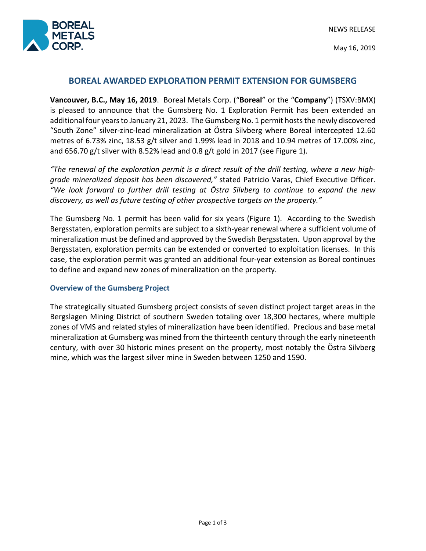

May 16, 2019

# **BOREAL AWARDED EXPLORATION PERMIT EXTENSION FOR GUMSBERG**

**Vancouver, B.C., May 16, 2019**. Boreal Metals Corp. ("**Boreal**" or the "**Company**") (TSXV:BMX) is pleased to announce that the Gumsberg No. 1 Exploration Permit has been extended an additional four years to January 21, 2023. The Gumsberg No. 1 permit hosts the newly discovered "South Zone" silver-zinc-lead mineralization at Östra Silvberg where Boreal intercepted 12.60 metres of 6.73% zinc, 18.53 g/t silver and 1.99% lead in 2018 and 10.94 metres of 17.00% zinc, and 656.70 g/t silver with 8.52% lead and 0.8 g/t gold in 2017 (see Figure 1).

*"The renewal of the exploration permit is a direct result of the drill testing, where a new highgrade mineralized deposit has been discovered,"* stated Patricio Varas, Chief Executive Officer. *"We look forward to further drill testing at Östra Silvberg to continue to expand the new discovery, as well as future testing of other prospective targets on the property."* 

The Gumsberg No. 1 permit has been valid for six years (Figure 1). According to the Swedish Bergsstaten, exploration permits are subject to a sixth-year renewal where a sufficient volume of mineralization must be defined and approved by the Swedish Bergsstaten. Upon approval by the Bergsstaten, exploration permits can be extended or converted to exploitation licenses. In this case, the exploration permit was granted an additional four-year extension as Boreal continues to define and expand new zones of mineralization on the property.

#### **Overview of the Gumsberg Project**

The strategically situated Gumsberg project consists of seven distinct project target areas in the Bergslagen Mining District of southern Sweden totaling over 18,300 hectares, where multiple zones of VMS and related styles of mineralization have been identified. Precious and base metal mineralization at Gumsberg was mined from the thirteenth century through the early nineteenth century, with over 30 historic mines present on the property, most notably the Östra Silvberg mine, which was the largest silver mine in Sweden between 1250 and 1590.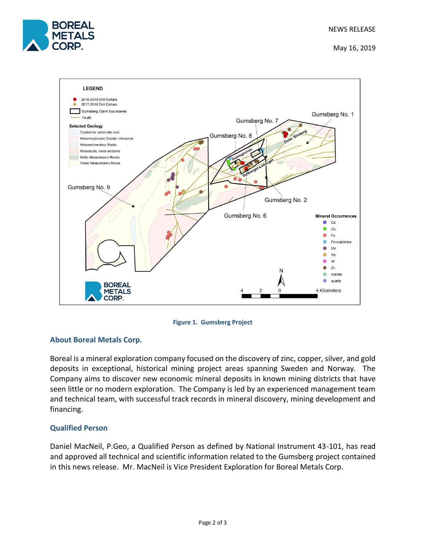

May 16, 2019



**Figure 1. Gumsberg Project**

## **About Boreal Metals Corp.**

Boreal is a mineral exploration company focused on the discovery of zinc, copper, silver, and gold deposits in exceptional, historical mining project areas spanning Sweden and Norway. The Company aims to discover new economic mineral deposits in known mining districts that have seen little or no modern exploration. The Company is led by an experienced management team and technical team, with successful track records in mineral discovery, mining development and financing.

## **Qualified Person**

Daniel MacNeil, P.Geo, a Qualified Person as defined by National Instrument 43-101, has read and approved all technical and scientific information related to the Gumsberg project contained in this news release. Mr. MacNeil is Vice President Exploration for Boreal Metals Corp.